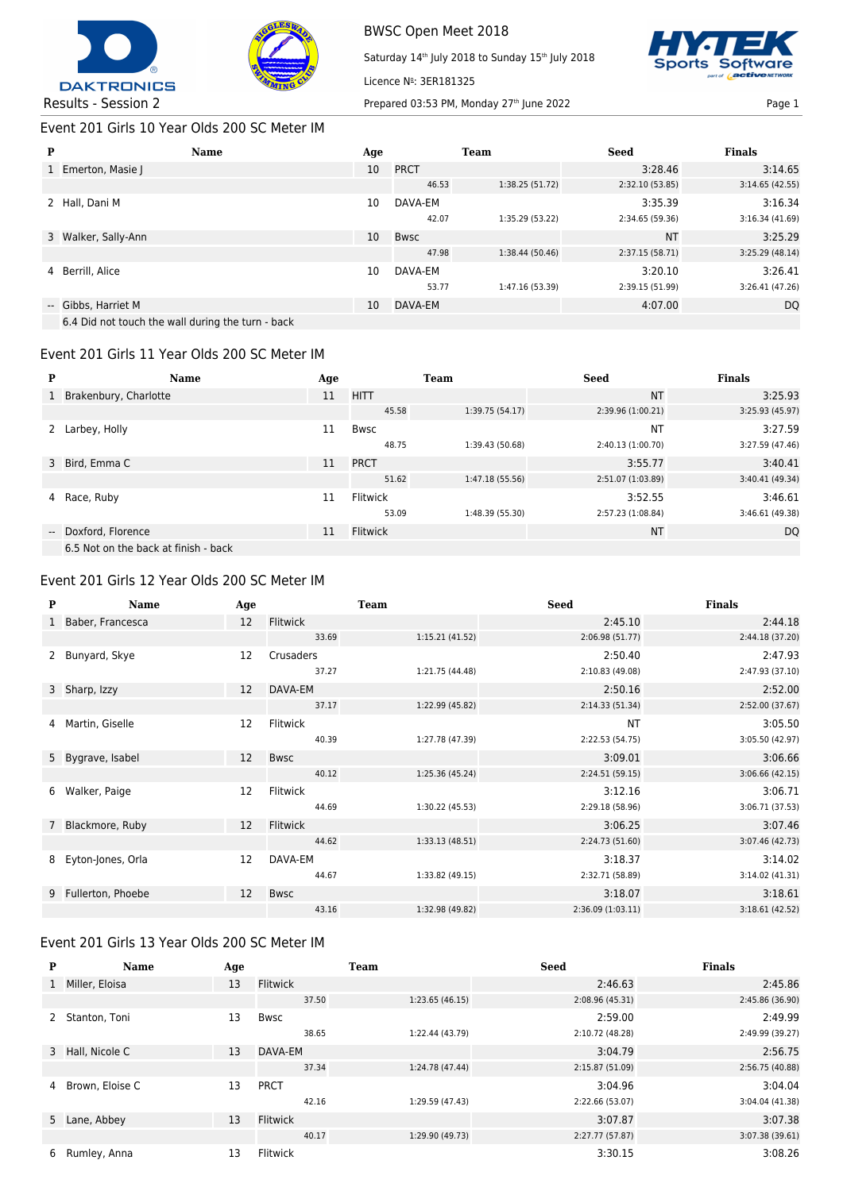



Saturday 14<sup>th</sup> July 2018 to Sunday 15<sup>th</sup> July 2018 Licence Nº: 3ER181325



#### Event 201 Girls 10 Year Olds 200 SC Meter IM

| P | <b>Name</b>                                       | Age |             | <b>Team</b>     | <b>Seed</b>     | <b>Finals</b>   |
|---|---------------------------------------------------|-----|-------------|-----------------|-----------------|-----------------|
|   | 1 Emerton, Masie J                                | 10  | <b>PRCT</b> |                 | 3:28.46         | 3:14.65         |
|   |                                                   |     | 46.53       | 1:38.25(51.72)  | 2:32.10(53.85)  | 3:14.65(42.55)  |
|   | 2 Hall, Dani M                                    | 10  | DAVA-EM     |                 | 3:35.39         | 3:16.34         |
|   |                                                   |     | 42.07       | 1:35.29 (53.22) | 2:34.65 (59.36) | 3:16.34(41.69)  |
|   | 3 Walker, Sally-Ann                               | 10  | <b>Bwsc</b> |                 | <b>NT</b>       | 3:25.29         |
|   |                                                   |     | 47.98       | 1:38.44 (50.46) | 2:37.15(58.71)  | 3:25.29 (48.14) |
|   | 4 Berrill, Alice                                  | 10  | DAVA-EM     |                 | 3:20.10         | 3:26.41         |
|   |                                                   |     | 53.77       | 1:47.16 (53.39) | 2:39.15 (51.99) | 3:26.41 (47.26) |
|   | -- Gibbs, Harriet M                               | 10  | DAVA-EM     |                 | 4:07.00         | <b>DQ</b>       |
|   | 6.4 Did not touch the wall during the turn - back |     |             |                 |                 |                 |

Event 201 Girls 11 Year Olds 200 SC Meter IM

| P | <b>Name</b>                          | Age |                 | <b>Team</b>     | <b>Seed</b>       | <b>Finals</b>   |
|---|--------------------------------------|-----|-----------------|-----------------|-------------------|-----------------|
|   | 1 Brakenbury, Charlotte              | 11  | <b>HITT</b>     |                 | <b>NT</b>         | 3:25.93         |
|   |                                      |     | 45.58           | 1:39.75 (54.17) | 2:39.96 (1:00.21) | 3:25.93 (45.97) |
|   | Larbey, Holly                        | 11  | <b>Bwsc</b>     |                 | <b>NT</b>         | 3:27.59         |
|   |                                      |     | 48.75           | 1:39.43 (50.68) | 2:40.13 (1:00.70) | 3:27.59 (47.46) |
|   | 3 Bird, Emma C                       | 11  | <b>PRCT</b>     |                 | 3:55.77           | 3:40.41         |
|   |                                      |     | 51.62           | 1:47.18 (55.56) | 2:51.07 (1:03.89) | 3:40.41 (49.34) |
|   | 4 Race, Ruby                         | 11  | Flitwick        |                 | 3:52.55           | 3:46.61         |
|   |                                      |     | 53.09           | 1:48.39 (55.30) | 2:57.23 (1:08.84) | 3:46.61 (49.38) |
|   | -- Doxford, Florence                 | 11  | <b>Flitwick</b> |                 | <b>NT</b>         | DQ              |
|   | 6.5 Not on the back at finish - back |     |                 |                 |                   |                 |

#### Event 201 Girls 12 Year Olds 200 SC Meter IM

| P | <b>Name</b>         | Age |                 | <b>Team</b>     | <b>Seed</b>       | <b>Finals</b>   |                 |
|---|---------------------|-----|-----------------|-----------------|-------------------|-----------------|-----------------|
|   | 1 Baber, Francesca  | 12  | <b>Flitwick</b> |                 | 2:45.10           | 2:44.18         |                 |
|   |                     |     | 33.69           | 1:15.21(41.52)  | 2:06.98 (51.77)   | 2:44.18 (37.20) |                 |
| 2 | Bunyard, Skye       | 12  | Crusaders       |                 | 2:50.40           | 2:47.93         |                 |
|   |                     |     | 37.27           | 1:21.75 (44.48) | 2:10.83 (49.08)   | 2:47.93 (37.10) |                 |
|   | 3 Sharp, Izzy       | 12  | DAVA-EM         |                 | 2:50.16           | 2:52.00         |                 |
|   |                     |     | 37.17           | 1:22.99 (45.82) | 2:14.33(51.34)    | 2:52.00 (37.67) |                 |
| 4 | Martin, Giselle     | 12  | Flitwick        |                 | <b>NT</b>         | 3:05.50         |                 |
|   |                     |     |                 | 40.39           | 1:27.78 (47.39)   | 2:22.53 (54.75) | 3:05.50 (42.97) |
|   | 5 Bygrave, Isabel   | 12  | <b>Bwsc</b>     |                 | 3:09.01           | 3:06.66         |                 |
|   |                     |     | 40.12           | 1:25.36 (45.24) | 2:24.51(59.15)    | 3:06.66(42.15)  |                 |
| 6 | Walker, Paige       | 12  | Flitwick        |                 | 3:12.16           | 3:06.71         |                 |
|   |                     |     | 44.69           | 1:30.22 (45.53) | 2:29.18 (58.96)   | 3:06.71 (37.53) |                 |
|   | Blackmore, Ruby     | 12  | <b>Flitwick</b> |                 | 3:06.25           | 3:07.46         |                 |
|   |                     |     | 44.62           | 1:33.13(48.51)  | 2:24.73 (51.60)   | 3:07.46 (42.73) |                 |
| 8 | Eyton-Jones, Orla   | 12  | DAVA-EM         |                 | 3:18.37           | 3:14.02         |                 |
|   |                     |     | 44.67           | 1:33.82 (49.15) | 2:32.71 (58.89)   | 3:14.02 (41.31) |                 |
|   | 9 Fullerton, Phoebe | 12  | <b>Bwsc</b>     |                 | 3:18.07           | 3:18.61         |                 |
|   |                     |     | 43.16           | 1:32.98 (49.82) | 2:36.09 (1:03.11) | 3:18.61(42.52)  |                 |

# Event 201 Girls 13 Year Olds 200 SC Meter IM

| P            | <b>Name</b>      | Age |                 | <b>Team</b>     | <b>Seed</b>     | <b>Finals</b>   |
|--------------|------------------|-----|-----------------|-----------------|-----------------|-----------------|
| $\mathbf{1}$ | Miller, Eloisa   | 13  | <b>Flitwick</b> |                 | 2:46.63         | 2:45.86         |
|              |                  |     | 37.50           | 1:23.65(46.15)  | 2:08.96 (45.31) | 2:45.86 (36.90) |
|              | Stanton, Toni    | 13  | Bwsc            |                 | 2:59.00         | 2:49.99         |
|              |                  |     | 38.65           | 1:22.44 (43.79) | 2:10.72 (48.28) | 2:49.99 (39.27) |
|              | 3 Hall, Nicole C | 13  | DAVA-EM         |                 | 3:04.79         | 2:56.75         |
|              |                  |     | 37.34           | 1:24.78 (47.44) | 2:15.87(51.09)  | 2:56.75 (40.88) |
| 4            | Brown, Eloise C  | 13  | <b>PRCT</b>     |                 | 3:04.96         | 3:04.04         |
|              |                  |     | 42.16           | 1:29.59 (47.43) | 2:22.66 (53.07) | 3:04.04 (41.38) |
|              | 5 Lane, Abbey    | 13  | <b>Flitwick</b> |                 | 3:07.87         | 3:07.38         |
|              |                  |     | 40.17           | 1:29.90 (49.73) | 2:27.77 (57.87) | 3:07.38 (39.61) |
| 6            | Rumley, Anna     | 13  | Flitwick        |                 | 3:30.15         | 3:08.26         |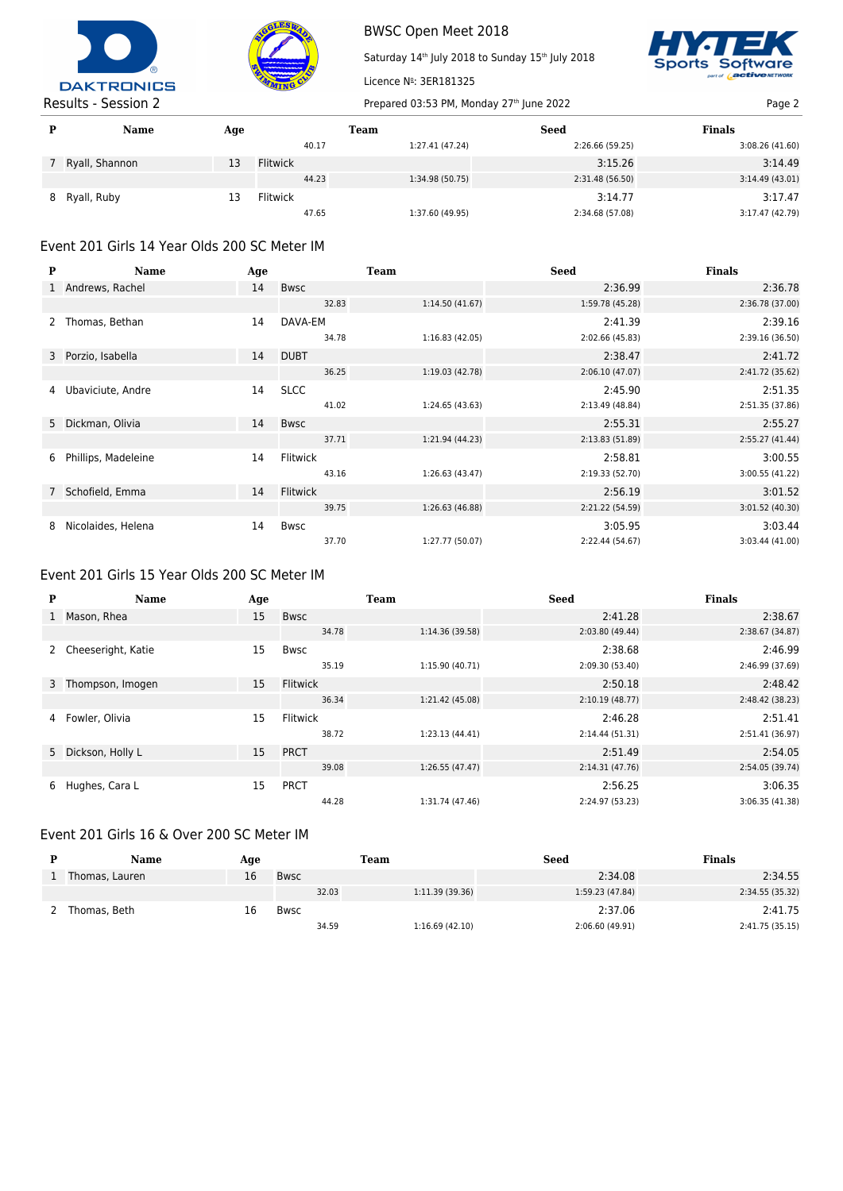



Saturday 14<sup>th</sup> July 2018 to Sunday 15<sup>th</sup> July 2018



|   | .<br>---------   |     |                 |                 |                 |                 |
|---|------------------|-----|-----------------|-----------------|-----------------|-----------------|
| P | <b>Name</b>      | Age |                 | <b>Team</b>     | <b>Seed</b>     | <b>Finals</b>   |
|   |                  |     | 40.17           | 1:27.41 (47.24) | 2:26.66 (59.25) | 3:08.26 (41.60) |
|   | 7 Ryall, Shannon | 13  | <b>Flitwick</b> |                 | 3:15.26         | 3:14.49         |
|   |                  |     | 44.23           | 1:34.98 (50.75) | 2:31.48 (56.50) | 3:14.49(43.01)  |
|   | 8 Ryall, Ruby    | 13  | <b>Flitwick</b> |                 | 3:14.77         | 3:17.47         |
|   |                  |     | 47.65           | 1:37.60 (49.95) | 2:34.68 (57.08) | 3:17.47 (42.79) |

Licence Nº: 3ER181325

# Event 201 Girls 14 Year Olds 200 SC Meter IM

| P | <b>Name</b>         | Age |                 | Team            | <b>Seed</b>     | <b>Finals</b>   |
|---|---------------------|-----|-----------------|-----------------|-----------------|-----------------|
|   | 1 Andrews, Rachel   | 14  | <b>Bwsc</b>     |                 | 2:36.99         | 2:36.78         |
|   |                     |     | 32.83           | 1:14.50(41.67)  | 1:59.78 (45.28) | 2:36.78 (37.00) |
|   | Thomas, Bethan      | 14  | DAVA-EM         |                 | 2:41.39         | 2:39.16         |
|   |                     |     | 34.78           | 1:16.83(42.05)  | 2:02.66 (45.83) | 2:39.16 (36.50) |
|   | 3 Porzio, Isabella  | 14  | <b>DUBT</b>     |                 | 2:38.47         | 2:41.72         |
|   |                     |     | 36.25           | 1:19.03 (42.78) | 2:06.10(47.07)  | 2:41.72 (35.62) |
| 4 | Ubaviciute, Andre   | 14  | <b>SLCC</b>     |                 | 2:45.90         | 2:51.35         |
|   |                     |     | 41.02           | 1:24.65 (43.63) | 2:13.49 (48.84) | 2:51.35 (37.86) |
|   | 5 Dickman, Olivia   | 14  | <b>Bwsc</b>     |                 | 2:55.31         | 2:55.27         |
|   |                     |     | 37.71           | 1:21.94 (44.23) | 2:13.83(51.89)  | 2:55.27 (41.44) |
| 6 | Phillips, Madeleine | 14  | <b>Flitwick</b> |                 | 2:58.81         | 3:00.55         |
|   |                     |     | 43.16           | 1:26.63(43.47)  | 2:19.33 (52.70) | 3:00.55 (41.22) |
|   | 7 Schofield, Emma   | 14  | <b>Flitwick</b> |                 | 2:56.19         | 3:01.52         |
|   |                     |     | 39.75           | 1:26.63(46.88)  | 2:21.22 (54.59) | 3:01.52 (40.30) |
| 8 | Nicolaides, Helena  | 14  | Bwsc            |                 | 3:05.95         | 3:03.44         |
|   |                     |     | 37.70           | 1:27.77 (50.07) | 2:22.44 (54.67) | 3:03.44 (41.00) |

# Event 201 Girls 15 Year Olds 200 SC Meter IM

| P            | <b>Name</b>        | Age |             | <b>Team</b>     | <b>Seed</b>     | <b>Finals</b>   |
|--------------|--------------------|-----|-------------|-----------------|-----------------|-----------------|
| $\mathbf{1}$ | Mason, Rhea        | 15  | <b>Bwsc</b> |                 | 2:41.28         | 2:38.67         |
|              |                    |     | 34.78       | 1:14.36 (39.58) | 2:03.80 (49.44) | 2:38.67 (34.87) |
|              | Cheeseright, Katie | 15  | <b>Bwsc</b> |                 | 2:38.68         | 2:46.99         |
|              |                    |     | 35.19       | 1:15.90 (40.71) | 2:09.30 (53.40) | 2:46.99 (37.69) |
|              | 3 Thompson, Imogen | 15  | Flitwick    |                 | 2:50.18         | 2:48.42         |
|              |                    |     | 36.34       | 1:21.42 (45.08) | 2:10.19(48.77)  | 2:48.42 (38.23) |
| 4            | Fowler, Olivia     | 15  | Flitwick    |                 | 2:46.28         | 2:51.41         |
|              |                    |     | 38.72       | 1:23.13(44.41)  | 2:14.44 (51.31) | 2:51.41 (36.97) |
|              | 5 Dickson, Holly L | 15  | <b>PRCT</b> |                 | 2:51.49         | 2:54.05         |
|              |                    |     | 39.08       | 1:26.55 (47.47) | 2:14.31(47.76)  | 2:54.05 (39.74) |
| 6            | Hughes, Cara L     | 15  | <b>PRCT</b> |                 | 2:56.25         | 3:06.35         |
|              |                    |     | 44.28       | 1:31.74 (47.46) | 2:24.97 (53.23) | 3:06.35 (41.38) |

# Event 201 Girls 16 & Over 200 SC Meter IM

| <b>Name</b>    | Age |      | Team  |                | <b>Seed</b>     | <b>Finals</b>   |
|----------------|-----|------|-------|----------------|-----------------|-----------------|
| Thomas, Lauren | 16  | Bwsc |       |                | 2:34.08         | 2:34.55         |
|                |     |      | 32.03 | 1:11.39(39.36) | 1:59.23 (47.84) | 2:34.55 (35.32) |
| Thomas, Beth   | 16  | Bwsc |       |                | 2:37.06         | 2:41.75         |
|                |     |      | 34.59 | 1:16.69(42.10) | 2:06.60 (49.91) | 2:41.75 (35.15) |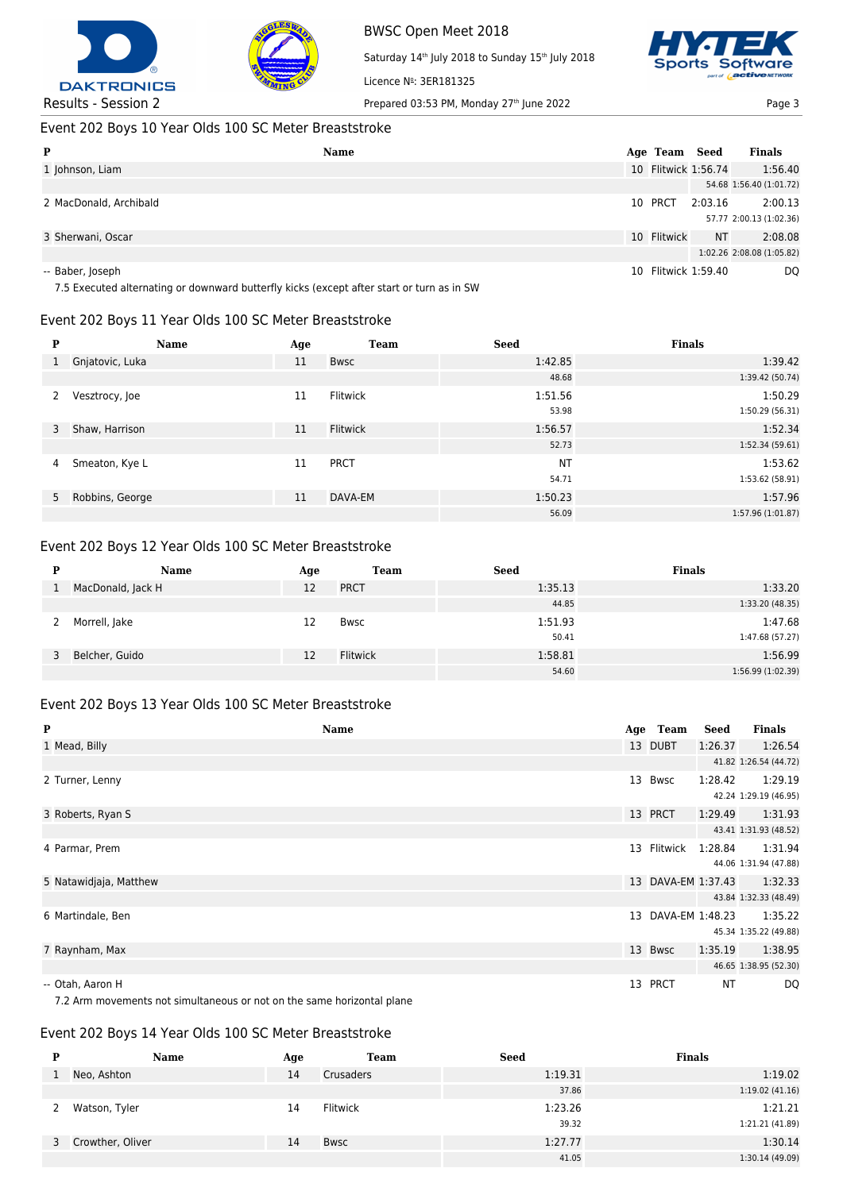



Saturday 14<sup>th</sup> July 2018 to Sunday 15<sup>th</sup> July 2018 Licence Nº: 3ER181325



# Event 202 Boys 10 Year Olds 100 SC Meter Breaststroke

| P                      | Name<br>Age Team    | Seed      | <b>Finals</b>             |
|------------------------|---------------------|-----------|---------------------------|
| 1 Johnson, Liam        | 10 Flitwick 1:56.74 |           | 1:56.40                   |
|                        |                     |           | 54.68 1:56.40 (1:01.72)   |
| 2 MacDonald, Archibald | 10 PRCT             | 2:03.16   | 2:00.13                   |
|                        |                     |           | 57.77 2:00.13 (1:02.36)   |
| 3 Sherwani, Oscar      | 10 Flitwick         | <b>NT</b> | 2:08.08                   |
|                        |                     |           | 1:02.26 2:08.08 (1:05.82) |
| -- Baber, Joseph       | 10 Flitwick 1:59.40 |           | <b>DQ</b>                 |

7.5 Executed alternating or downward butterfly kicks (except after start or turn as in SW

#### Event 202 Boys 11 Year Olds 100 SC Meter Breaststroke

| P | <b>Name</b>       | Age | <b>Team</b>     | <b>Seed</b> | <b>Finals</b>     |
|---|-------------------|-----|-----------------|-------------|-------------------|
| 1 | Gnjatovic, Luka   | 11  | Bwsc            | 1:42.85     | 1:39.42           |
|   |                   |     |                 | 48.68       | 1:39.42 (50.74)   |
| 2 | Vesztrocy, Joe    | 11  | Flitwick        | 1:51.56     | 1:50.29           |
|   |                   |     |                 | 53.98       | 1:50.29 (56.31)   |
| 3 | Shaw, Harrison    | 11  | <b>Flitwick</b> | 1:56.57     | 1:52.34           |
|   |                   |     |                 | 52.73       | 1:52.34(59.61)    |
| 4 | Smeaton, Kye L    | 11  | <b>PRCT</b>     | <b>NT</b>   | 1:53.62           |
|   |                   |     |                 | 54.71       | 1:53.62 (58.91)   |
|   | 5 Robbins, George | 11  | DAVA-EM         | 1:50.23     | 1:57.96           |
|   |                   |     |                 | 56.09       | 1:57.96 (1:01.87) |

# Event 202 Boys 12 Year Olds 100 SC Meter Breaststroke

| D | <b>Name</b>       | Age | <b>Team</b>     | <b>Seed</b> | <b>Finals</b>     |
|---|-------------------|-----|-----------------|-------------|-------------------|
|   | MacDonald, Jack H | 12  | <b>PRCT</b>     | 1:35.13     | 1:33.20           |
|   |                   |     |                 | 44.85       | 1:33.20 (48.35)   |
|   | Morrell, Jake     | 12  | <b>Bwsc</b>     | 1:51.93     | 1:47.68           |
|   |                   |     |                 | 50.41       | 1:47.68 (57.27)   |
| 3 | Belcher, Guido    | 12  | <b>Flitwick</b> | 1:58.81     | 1:56.99           |
|   |                   |     |                 | 54.60       | 1:56.99 (1:02.39) |

# Event 202 Boys 13 Year Olds 100 SC Meter Breaststroke

| $\mathbf{P}$                                                                                                                                                                                                                   | <b>Name</b> | Age Team           | Seed      | <b>Finals</b>         |
|--------------------------------------------------------------------------------------------------------------------------------------------------------------------------------------------------------------------------------|-------------|--------------------|-----------|-----------------------|
| 1 Mead, Billy                                                                                                                                                                                                                  |             | 13 DUBT            | 1:26.37   | 1:26.54               |
|                                                                                                                                                                                                                                |             |                    |           | 41.82 1:26.54 (44.72) |
| 2 Turner, Lenny                                                                                                                                                                                                                | 13          | Bwsc               | 1:28.42   | 1:29.19               |
|                                                                                                                                                                                                                                |             |                    |           | 42.24 1:29.19 (46.95) |
| 3 Roberts, Ryan S                                                                                                                                                                                                              |             | 13 PRCT            | 1:29.49   | 1:31.93               |
|                                                                                                                                                                                                                                |             |                    |           | 43.41 1:31.93 (48.52) |
| 4 Parmar, Prem                                                                                                                                                                                                                 | 13          | Flitwick           | 1:28.84   | 1:31.94               |
|                                                                                                                                                                                                                                |             |                    |           | 44.06 1:31.94 (47.88) |
| 5 Natawidjaja, Matthew                                                                                                                                                                                                         |             | 13 DAVA-EM 1:37.43 |           | 1:32.33               |
|                                                                                                                                                                                                                                |             |                    |           | 43.84 1:32.33 (48.49) |
| 6 Martindale, Ben                                                                                                                                                                                                              | 13          | DAVA-EM 1:48.23    |           | 1:35.22               |
|                                                                                                                                                                                                                                |             |                    |           | 45.34 1:35.22 (49.88) |
| 7 Raynham, Max                                                                                                                                                                                                                 |             | 13 Bwsc            | 1:35.19   | 1:38.95               |
|                                                                                                                                                                                                                                |             |                    |           | 46.65 1:38.95 (52.30) |
| -- Otah, Aaron H                                                                                                                                                                                                               | 13          | <b>PRCT</b>        | <b>NT</b> | DQ                    |
| 7.0. A successive contract to a street decomposition of the second contract of the second state of the second state of the second state of the second state of the second state of the second state of the second state of the |             |                    |           |                       |

7.2 Arm movements not simultaneous or not on the same horizontal plane

#### Event 202 Boys 14 Year Olds 100 SC Meter Breaststroke

| D  | Name               | Age | <b>Team</b> | <b>Seed</b> | <b>Finals</b>   |
|----|--------------------|-----|-------------|-------------|-----------------|
| Ŧ. | Neo, Ashton        | 14  | Crusaders   | 1:19.31     | 1:19.02         |
|    |                    |     |             | 37.86       | 1:19.02(41.16)  |
| 2  | Watson, Tyler      | 14  | Flitwick    | 1:23.26     | 1:21.21         |
|    |                    |     |             | 39.32       | 1:21.21 (41.89) |
|    | 3 Crowther, Oliver | 14  | <b>Bwsc</b> | 1:27.77     | 1:30.14         |
|    |                    |     |             | 41.05       | 1:30.14 (49.09) |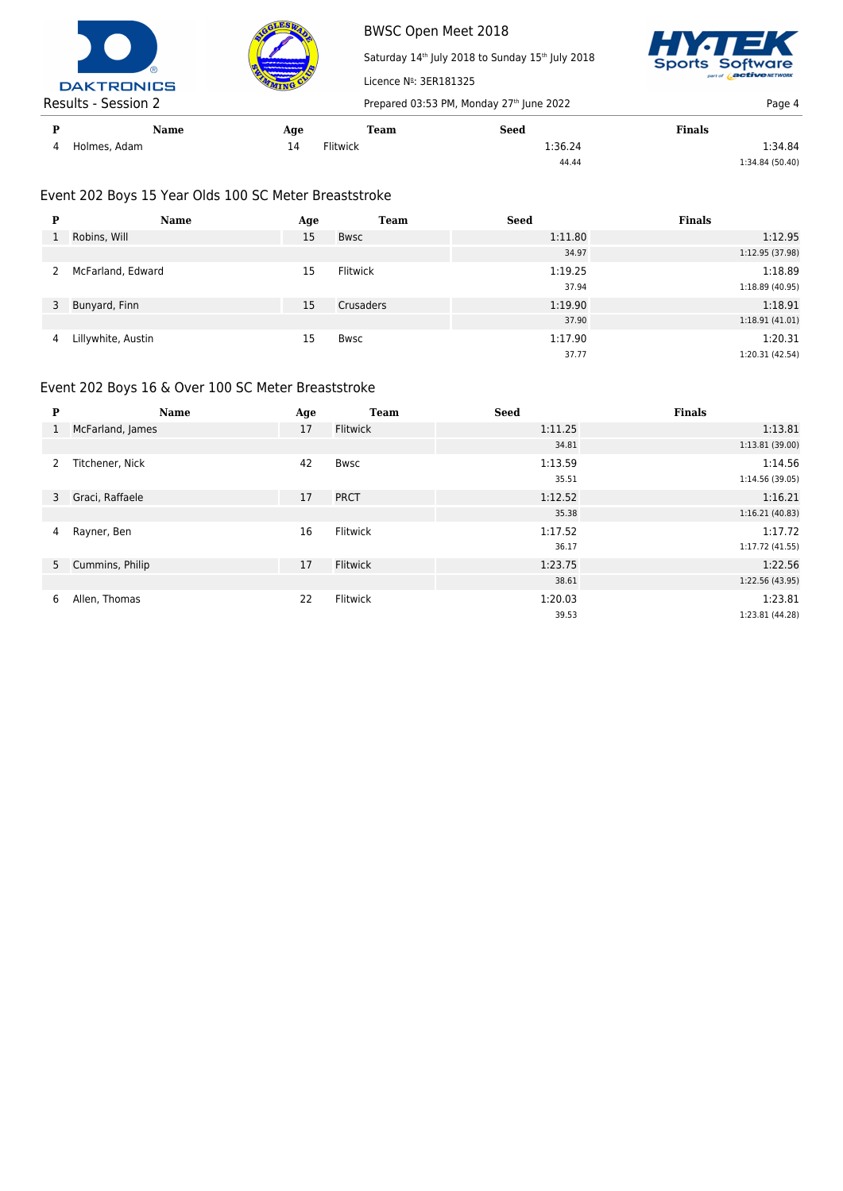



Saturday 14<sup>th</sup> July 2018 to Sunday 15<sup>th</sup> July 2018 Licence Nº: 3ER181325 Results - Session 2 Prepared 03:53 PM, Monday 27<sup>th</sup> June 2022 Page 4



**P Name Age Team Seed Finals** 4 Holmes, Adam 1:36.24 1:36.24 1:36.24 1:36.24 1:34.84 44.44 1:34.84 (50.40)

## Event 202 Boys 15 Year Olds 100 SC Meter Breaststroke

| P | Name               | Age | <b>Team</b> | <b>Seed</b> | <b>Finals</b>   |
|---|--------------------|-----|-------------|-------------|-----------------|
|   | Robins, Will       | 15  | Bwsc        | 1:11.80     | 1:12.95         |
|   |                    |     |             | 34.97       | 1:12.95 (37.98) |
| 2 | McFarland, Edward  | 15  | Flitwick    | 1:19.25     | 1:18.89         |
|   |                    |     |             | 37.94       | 1:18.89(40.95)  |
| 3 | Bunyard, Finn      | 15  | Crusaders   | 1:19.90     | 1:18.91         |
|   |                    |     |             | 37.90       | 1:18.91(41.01)  |
| 4 | Lillywhite, Austin | 15  | Bwsc        | 1:17.90     | 1:20.31         |
|   |                    |     |             | 37.77       | 1:20.31 (42.54) |

#### Event 202 Boys 16 & Over 100 SC Meter Breaststroke

| P                | <b>Name</b>       | Age | <b>Team</b>     | <b>Seed</b> | <b>Finals</b>   |
|------------------|-------------------|-----|-----------------|-------------|-----------------|
| $\left  \right $ | McFarland, James  | 17  | <b>Flitwick</b> | 1:11.25     | 1:13.81         |
|                  |                   |     |                 | 34.81       | 1:13.81 (39.00) |
| $\mathbf{2}$     | Titchener, Nick   | 42  | <b>Bwsc</b>     | 1:13.59     | 1:14.56         |
|                  |                   |     |                 | 35.51       | 1:14.56 (39.05) |
|                  | 3 Graci, Raffaele | 17  | <b>PRCT</b>     | 1:12.52     | 1:16.21         |
|                  |                   |     |                 | 35.38       | 1:16.21(40.83)  |
| 4                | Rayner, Ben       | 16  | Flitwick        | 1:17.52     | 1:17.72         |
|                  |                   |     |                 | 36.17       | 1:17.72 (41.55) |
|                  | 5 Cummins, Philip | 17  | <b>Flitwick</b> | 1:23.75     | 1:22.56         |
|                  |                   |     |                 | 38.61       | 1:22.56 (43.95) |
| 6                | Allen, Thomas     | 22  | Flitwick        | 1:20.03     | 1:23.81         |
|                  |                   |     |                 | 39.53       | 1:23.81 (44.28) |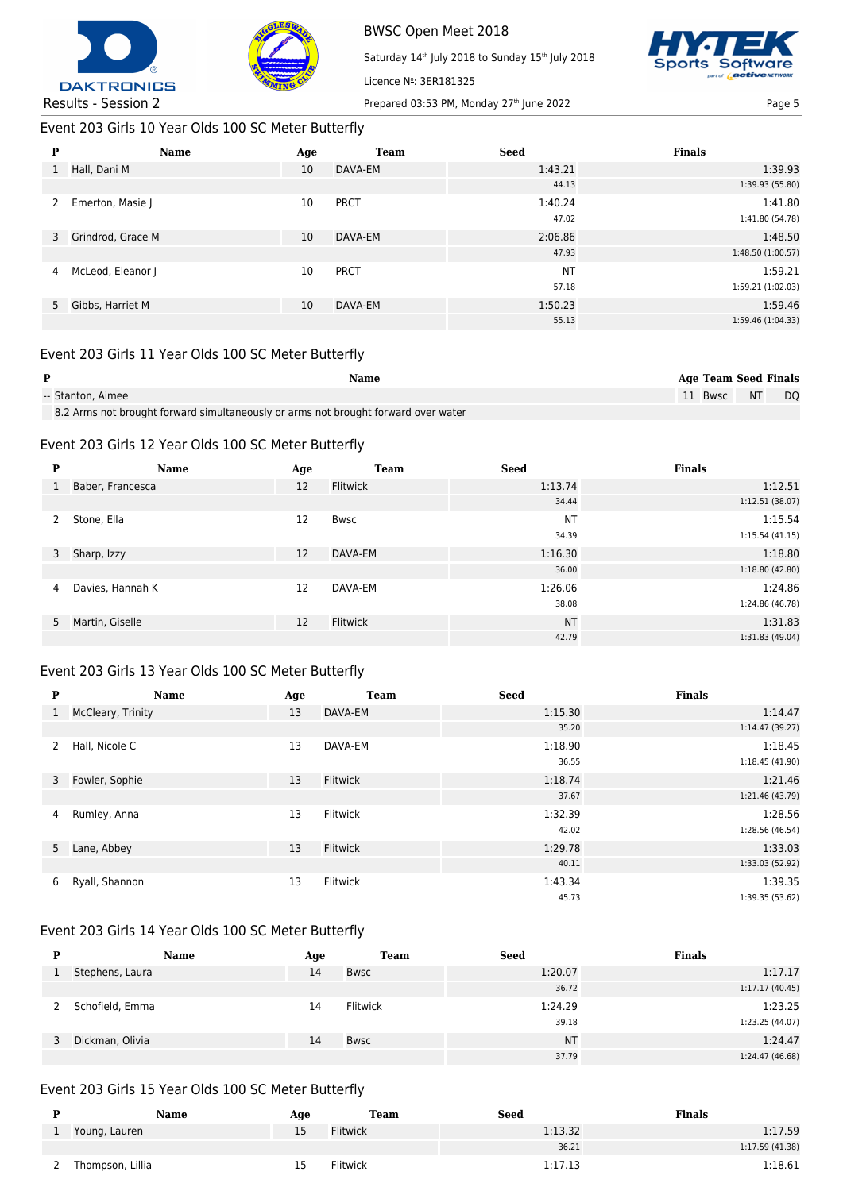



BWSC Open Meet 2018 Saturday 14<sup>th</sup> July 2018 to Sunday 15<sup>th</sup> July 2018



Results - Session 2 Prepared 03:53 PM, Monday 27<sup>th</sup> June 2022 Page 5

Event 203 Girls 10 Year Olds 100 SC Meter Butterfly

| P            | Name                | Age | <b>Team</b> | <b>Seed</b> | <b>Finals</b>     |
|--------------|---------------------|-----|-------------|-------------|-------------------|
| $\mathbf{1}$ | Hall, Dani M        | 10  | DAVA-EM     | 1:43.21     | 1:39.93           |
|              |                     |     |             | 44.13       | 1:39.93 (55.80)   |
| 2            | Emerton, Masie J    | 10  | <b>PRCT</b> | 1:40.24     | 1:41.80           |
|              |                     |     |             | 47.02       | 1:41.80 (54.78)   |
|              | 3 Grindrod, Grace M | 10  | DAVA-EM     | 2:06.86     | 1:48.50           |
|              |                     |     |             | 47.93       | 1:48.50 (1:00.57) |
| 4            | McLeod, Eleanor J   | 10  | <b>PRCT</b> | <b>NT</b>   | 1:59.21           |
|              |                     |     |             | 57.18       | 1:59.21 (1:02.03) |
|              | 5 Gibbs, Harriet M  | 10  | DAVA-EM     | 1:50.23     | 1:59.46           |
|              |                     |     |             | 55.13       | 1:59.46 (1:04.33) |

Licence Nº: 3ER181325

# Event 203 Girls 11 Year Olds 100 SC Meter Butterfly

| P                 | Name |  | <b>Age Team Seed Finals</b> |  |
|-------------------|------|--|-----------------------------|--|
| -- Stanton, Aimee |      |  | 11 Bwsc NT DO               |  |
| $\overline{a}$    |      |  |                             |  |

8.2 Arms not brought forward simultaneously or arms not brought forward over water

#### Event 203 Girls 12 Year Olds 100 SC Meter Butterfly

| P | Name              | Age | <b>Team</b> | <b>Seed</b> | <b>Finals</b>   |
|---|-------------------|-----|-------------|-------------|-----------------|
| 1 | Baber, Francesca  | 12  | Flitwick    | 1:13.74     | 1:12.51         |
|   |                   |     |             | 34.44       | 1:12.51(38.07)  |
| 2 | Stone, Ella       | 12  | <b>Bwsc</b> | <b>NT</b>   | 1:15.54         |
|   |                   |     |             | 34.39       | 1:15.54(41.15)  |
| 3 | Sharp, Izzy       | 12  | DAVA-EM     | 1:16.30     | 1:18.80         |
|   |                   |     |             | 36.00       | 1:18.80(42.80)  |
| 4 | Davies, Hannah K  | 12  | DAVA-EM     | 1:26.06     | 1:24.86         |
|   |                   |     |             | 38.08       | 1:24.86 (46.78) |
|   | 5 Martin, Giselle | 12  | Flitwick    | <b>NT</b>   | 1:31.83         |
|   |                   |     |             | 42.79       | 1:31.83 (49.04) |

#### Event 203 Girls 13 Year Olds 100 SC Meter Butterfly

| P            | <b>Name</b>       | Age | <b>Team</b>     | <b>Seed</b> | <b>Finals</b>   |
|--------------|-------------------|-----|-----------------|-------------|-----------------|
| $\mathbf{1}$ | McCleary, Trinity | 13  | DAVA-EM         | 1:15.30     | 1:14.47         |
|              |                   |     |                 | 35.20       | 1:14.47(39.27)  |
| 2            | Hall, Nicole C    | 13  | DAVA-EM         | 1:18.90     | 1:18.45         |
|              |                   |     |                 | 36.55       | 1:18.45(41.90)  |
|              | 3 Fowler, Sophie  | 13  | <b>Flitwick</b> | 1:18.74     | 1:21.46         |
|              |                   |     |                 | 37.67       | 1:21.46 (43.79) |
| 4            | Rumley, Anna      | 13  | <b>Flitwick</b> | 1:32.39     | 1:28.56         |
|              |                   |     |                 | 42.02       | 1:28.56 (46.54) |
|              | 5 Lane, Abbey     | 13  | <b>Flitwick</b> | 1:29.78     | 1:33.03         |
|              |                   |     |                 | 40.11       | 1:33.03 (52.92) |
| 6            | Ryall, Shannon    | 13  | <b>Flitwick</b> | 1:43.34     | 1:39.35         |
|              |                   |     |                 | 45.73       | 1:39.35 (53.62) |

# Event 203 Girls 14 Year Olds 100 SC Meter Butterfly

| D | <b>Name</b>     | Age | <b>Team</b> | <b>Seed</b> | <b>Finals</b>   |
|---|-----------------|-----|-------------|-------------|-----------------|
|   | Stephens, Laura | 14  | <b>Bwsc</b> | 1:20.07     | 1:17.17         |
|   |                 |     |             | 36.72       | 1:17.17(40.45)  |
|   | Schofield, Emma | 14  | Flitwick    | 1:24.29     | 1:23.25         |
|   |                 |     |             | 39.18       | 1:23.25 (44.07) |
|   | Dickman, Olivia | 14  | <b>Bwsc</b> | <b>NT</b>   | 1:24.47         |
|   |                 |     |             | 37.79       | 1:24.47 (46.68) |

## Event 203 Girls 15 Year Olds 100 SC Meter Butterfly

| Name             | Age | Team            | Seed    | Finals          |
|------------------|-----|-----------------|---------|-----------------|
| Young, Lauren    | --  | Flitwick        | 1:13.32 | 1:17.59         |
|                  |     |                 | 36.21   | 1:17.59 (41.38) |
| Thompson, Lillia | --  | <b>Flitwick</b> | 1:17.13 | 1:18.61         |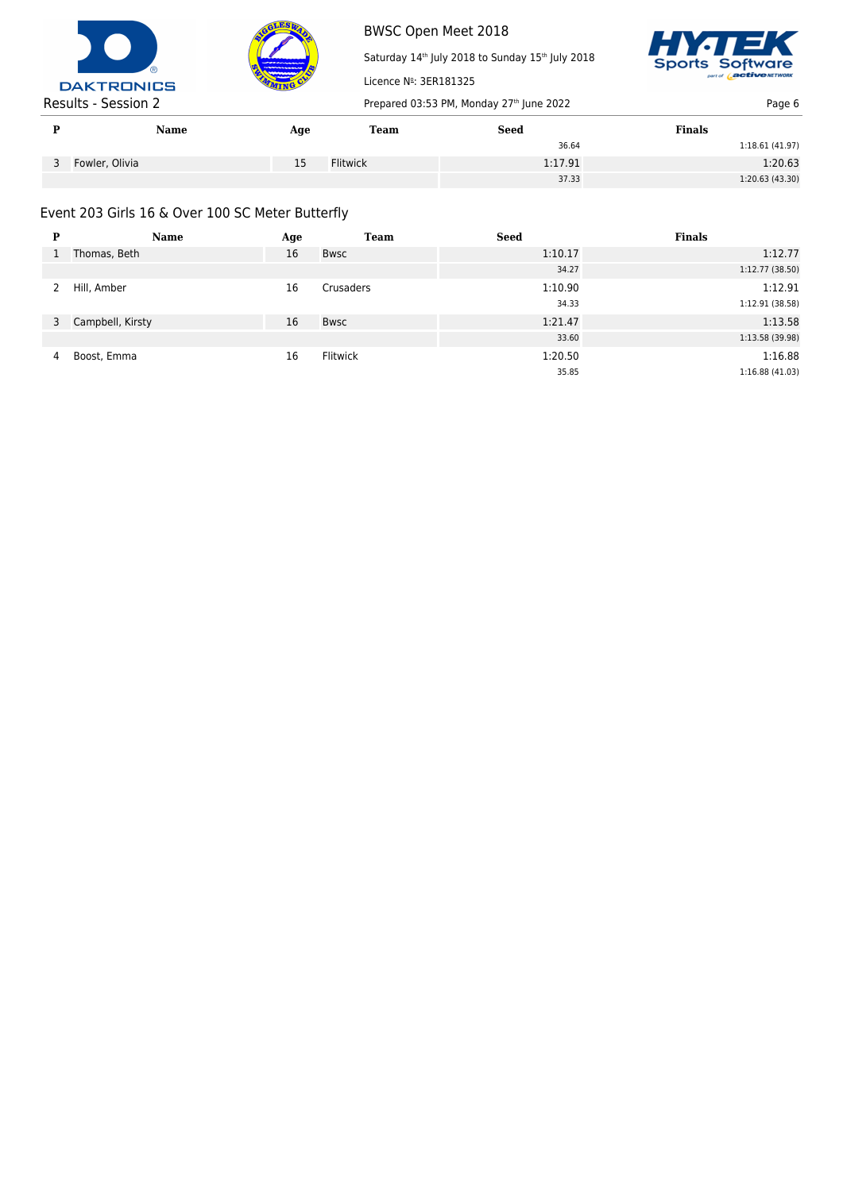



Saturday 14<sup>th</sup> July 2018 to Sunday 15<sup>th</sup> July 2018 Licence Nº: 3ER181325



|   | Name           | Age | Team     | <b>Seed</b> | <b>Finals</b>   |
|---|----------------|-----|----------|-------------|-----------------|
|   |                |     |          | 36.64       | 1:18.61(41.97)  |
| ◡ | Fowler, Olivia | 15  | Flitwick | 1:17.91     | 1:20.63         |
|   |                |     |          | 37.33       | 1:20.63 (43.30) |

# Event 203 Girls 16 & Over 100 SC Meter Butterfly

| P | Name               | Age | <b>Team</b> | <b>Seed</b> | <b>Finals</b>   |
|---|--------------------|-----|-------------|-------------|-----------------|
|   | Thomas, Beth       | 16  | Bwsc        | 1:10.17     | 1:12.77         |
|   |                    |     |             | 34.27       | 1:12.77 (38.50) |
|   | Hill, Amber        | 16  | Crusaders   | 1:10.90     | 1:12.91         |
|   |                    |     |             | 34.33       | 1:12.91 (38.58) |
|   | 3 Campbell, Kirsty | 16  | Bwsc        | 1:21.47     | 1:13.58         |
|   |                    |     |             | 33.60       | 1:13.58 (39.98) |
| 4 | Boost, Emma        | 16  | Flitwick    | 1:20.50     | 1:16.88         |
|   |                    |     |             | 35.85       | 1:16.88(41.03)  |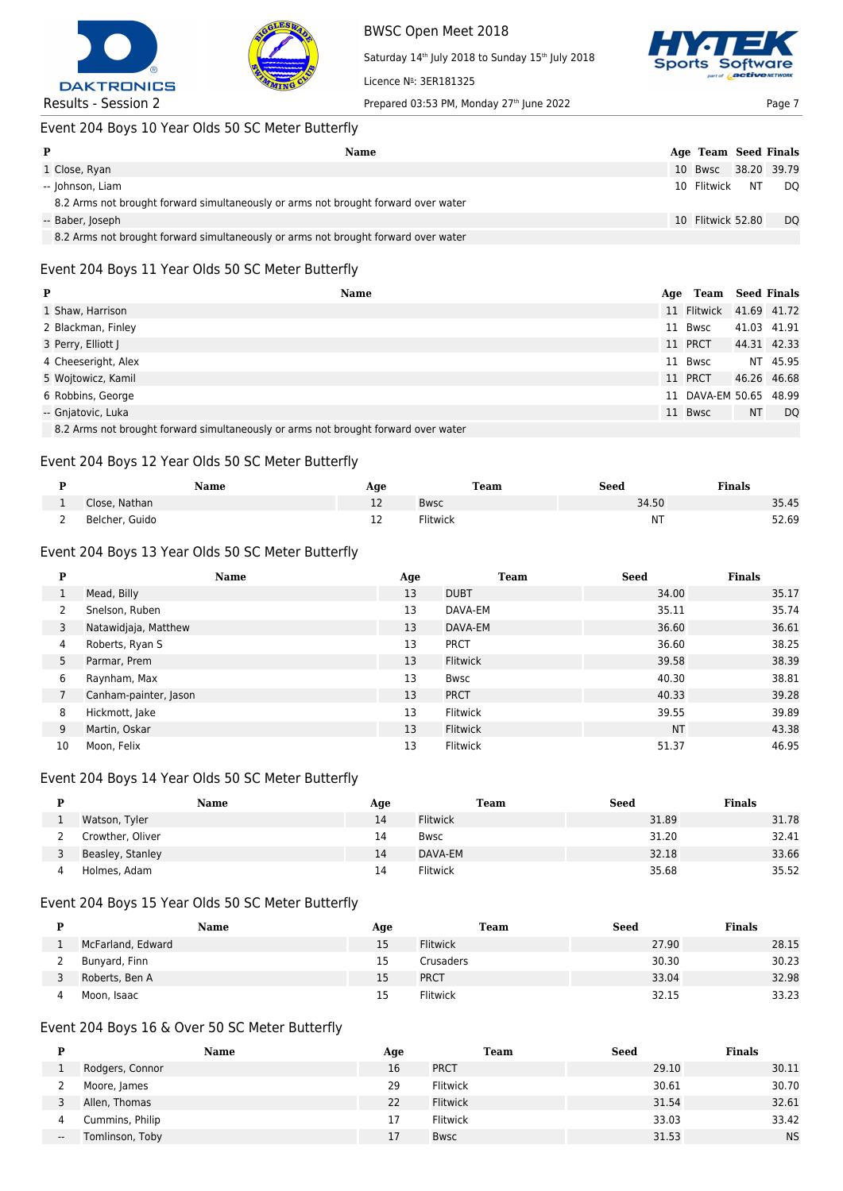



Saturday 14<sup>th</sup> July 2018 to Sunday 15<sup>th</sup> July 2018 Licence Nº: 3ER181325



# Event 204 Boys 10 Year Olds 50 SC Meter Butterfly

| P                                                                                  | Name | Age Team Seed Finals |                |
|------------------------------------------------------------------------------------|------|----------------------|----------------|
| 1 Close, Ryan                                                                      |      | 10 Bwsc 38.20 39.79  |                |
| -- Johnson, Liam                                                                   |      | 10 Flitwick NT DQ    |                |
| 8.2 Arms not brought forward simultaneously or arms not brought forward over water |      |                      |                |
| -- Baber, Joseph                                                                   |      | 10 Flitwick 52.80    | D <sub>O</sub> |
| 8.2 Arms not brought forward simultaneously or arms not brought forward over water |      |                      |                |

## Event 204 Boys 11 Year Olds 50 SC Meter Butterfly

| P                                                                                  | <b>Name</b><br>Age | Team                    |    | <b>Seed Finals</b> |
|------------------------------------------------------------------------------------|--------------------|-------------------------|----|--------------------|
| 1 Shaw, Harrison                                                                   |                    | 11 Flitwick 41.69 41.72 |    |                    |
| 2 Blackman, Finley                                                                 |                    | 11 Bwsc                 |    | 41.03 41.91        |
| 3 Perry, Elliott J                                                                 |                    | 11 PRCT                 |    | 44.31 42.33        |
| 4 Cheeseright, Alex                                                                |                    | 11 Bwsc                 |    | NT 45.95           |
| 5 Wojtowicz, Kamil                                                                 |                    | 11 PRCT                 |    | 46.26 46.68        |
| 6 Robbins, George                                                                  |                    | 11 DAVA-EM 50.65 48.99  |    |                    |
| -- Gnjatovic, Luka                                                                 |                    | 11 Bwsc                 | NT | DQ                 |
| 8.2 Arms not brought forward simultaneously or arms not brought forward over water |                    |                         |    |                    |

8.2 Arms not brought forward simultaneously or arms not brought forward over water

#### Event 204 Boys 12 Year Olds 50 SC Meter Butterfly

|   | Name           | Aqe | Team     | Seed  | <b>Finals</b> |
|---|----------------|-----|----------|-------|---------------|
|   | Close, Nathan  | ᅩ   | Bwsc     | 34.50 | 35.45         |
| - | Belcher, Guido | ᅩ   | Flitwick | ΝT    | 52.69         |

## Event 204 Boys 13 Year Olds 50 SC Meter Butterfly

| P  | <b>Name</b>           | Age | <b>Team</b>     | <b>Seed</b> | <b>Finals</b> |
|----|-----------------------|-----|-----------------|-------------|---------------|
|    | Mead, Billy           | 13  | <b>DUBT</b>     | 34.00       | 35.17         |
| 2  | Snelson, Ruben        | 13  | DAVA-EM         | 35.11       | 35.74         |
| 3  | Natawidjaja, Matthew  | 13  | DAVA-EM         | 36.60       | 36.61         |
| 4  | Roberts, Ryan S       | 13  | <b>PRCT</b>     | 36.60       | 38.25         |
| 5  | Parmar, Prem          | 13  | <b>Flitwick</b> | 39.58       | 38.39         |
| 6  | Raynham, Max          | 13  | Bwsc            | 40.30       | 38.81         |
|    | Canham-painter, Jason | 13  | <b>PRCT</b>     | 40.33       | 39.28         |
| 8  | Hickmott, Jake        | 13  | <b>Flitwick</b> | 39.55       | 39.89         |
| 9  | Martin, Oskar         | 13  | Flitwick        | <b>NT</b>   | 43.38         |
| 10 | Moon, Felix           | 13  | Flitwick        | 51.37       | 46.95         |

# Event 204 Boys 14 Year Olds 50 SC Meter Butterfly

| Name             | Age | Team            | <b>Seed</b> | <b>Finals</b> |
|------------------|-----|-----------------|-------------|---------------|
| Watson, Tyler    | 14  | <b>Flitwick</b> | 31.89       | 31.78         |
| Crowther, Oliver | 14  | <b>Bwsc</b>     | 31.20       | 32.41         |
| Beasley, Stanley | 14  | DAVA-EM         | 32.18       | 33.66         |
| Holmes, Adam     | 14  | Flitwick        | 35.68       | 35.52         |

# Event 204 Boys 15 Year Olds 50 SC Meter Butterfly

| Name              | Age | Team            | <b>Seed</b> | Finals |
|-------------------|-----|-----------------|-------------|--------|
| McFarland, Edward | 15  | <b>Flitwick</b> | 27.90       | 28.15  |
| Bunyard, Finn     | 15  | Crusaders       | 30.30       | 30.23  |
| Roberts, Ben A    | 15  | <b>PRCT</b>     | 33.04       | 32.98  |
| Moon, Isaac       |     | <b>Flitwick</b> | 32.15       | 33.23  |

#### Event 204 Boys 16 & Over 50 SC Meter Butterfly

|       | Name            | Age | Team            | <b>Seed</b> | <b>Finals</b> |
|-------|-----------------|-----|-----------------|-------------|---------------|
|       | Rodgers, Connor | 16  | <b>PRCT</b>     | 29.10       | 30.11         |
|       | Moore, James    | 29  | Flitwick        | 30.61       | 30.70         |
|       | Allen, Thomas   | 22  | <b>Flitwick</b> | 31.54       | 32.61         |
| 4     | Cummins, Philip | 17  | <b>Flitwick</b> | 33.03       | 33.42         |
| $- -$ | Tomlinson, Toby | 17  | Bwsc            | 31.53       | <b>NS</b>     |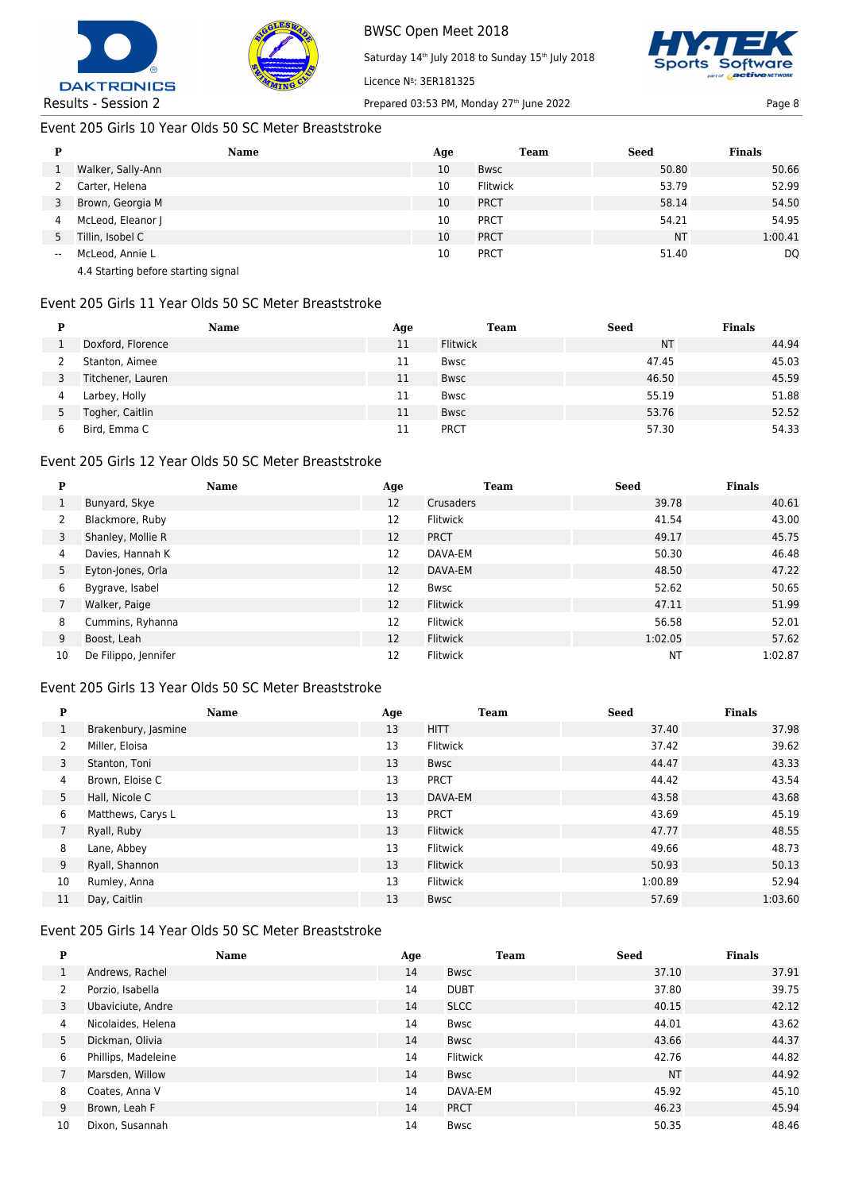



Saturday 14<sup>th</sup> July 2018 to Sunday 15<sup>th</sup> July 2018



Results - Session 2 Prepared 03:53 PM, Monday 27<sup>th</sup> June 2022 Page 8

### Event 205 Girls 10 Year Olds 50 SC Meter Breaststroke

| D                        | <b>Name</b>                         | Age | <b>Team</b> | Seed      | <b>Finals</b> |
|--------------------------|-------------------------------------|-----|-------------|-----------|---------------|
|                          | Walker, Sally-Ann                   | 10  | <b>Bwsc</b> | 50.80     | 50.66         |
|                          | Carter, Helena                      | 10  | Flitwick    | 53.79     | 52.99         |
| 3                        | Brown, Georgia M                    | 10  | <b>PRCT</b> | 58.14     | 54.50         |
| 4                        | McLeod, Eleanor J                   | 10  | <b>PRCT</b> | 54.21     | 54.95         |
| 5                        | Tillin, Isobel C                    | 10  | <b>PRCT</b> | <b>NT</b> | 1:00.41       |
| $\overline{\phantom{a}}$ | McLeod, Annie L                     | 10  | <b>PRCT</b> | 51.40     | DQ            |
|                          | 4.4 Starting before starting signal |     |             |           |               |

Licence Nº: 3ER181325

# Event 205 Girls 11 Year Olds 50 SC Meter Breaststroke

|   | Name              | Age | Team            | <b>Seed</b> | <b>Finals</b> |
|---|-------------------|-----|-----------------|-------------|---------------|
|   | Doxford, Florence | 11  | <b>Flitwick</b> | <b>NT</b>   | 44.94         |
|   | Stanton, Aimee    | 11  | Bwsc            | 47.45       | 45.03         |
|   | Titchener, Lauren | 11  | <b>Bwsc</b>     | 46.50       | 45.59         |
| 4 | Larbey, Holly     | 11  | Bwsc            | 55.19       | 51.88         |
| כ | Togher, Caitlin   | 11  | <b>Bwsc</b>     | 53.76       | 52.52         |
| b | Bird, Emma C      |     | <b>PRCT</b>     | 57.30       | 54.33         |

# Event 205 Girls 12 Year Olds 50 SC Meter Breaststroke

| P  | <b>Name</b>          | Age | Team            | <b>Seed</b> | <b>Finals</b> |
|----|----------------------|-----|-----------------|-------------|---------------|
|    | Bunyard, Skye        | 12  | Crusaders       | 39.78       | 40.61         |
|    | Blackmore, Ruby      | 12  | <b>Flitwick</b> | 41.54       | 43.00         |
| 3  | Shanley, Mollie R    | 12  | <b>PRCT</b>     | 49.17       | 45.75         |
| 4  | Davies, Hannah K     | 12  | DAVA-EM         | 50.30       | 46.48         |
| 5  | Eyton-Jones, Orla    | 12  | DAVA-EM         | 48.50       | 47.22         |
| 6  | Bygrave, Isabel      | 12  | <b>Bwsc</b>     | 52.62       | 50.65         |
|    | Walker, Paige        | 12  | Flitwick        | 47.11       | 51.99         |
| 8  | Cummins, Ryhanna     | 12  | Flitwick        | 56.58       | 52.01         |
| 9  | Boost, Leah          | 12  | Flitwick        | 1:02.05     | 57.62         |
| 10 | De Filippo, Jennifer | 12  | <b>Flitwick</b> | NT          | 1:02.87       |

## Event 205 Girls 13 Year Olds 50 SC Meter Breaststroke

| P              | <b>Name</b>         | Age | Team            | <b>Seed</b> | <b>Finals</b> |
|----------------|---------------------|-----|-----------------|-------------|---------------|
|                | Brakenbury, Jasmine | 13  | <b>HITT</b>     | 37.40       | 37.98         |
| 2              | Miller, Eloisa      | 13  | Flitwick        | 37.42       | 39.62         |
| 3              | Stanton, Toni       | 13  | <b>Bwsc</b>     | 44.47       | 43.33         |
| 4              | Brown, Eloise C     | 13  | <b>PRCT</b>     | 44.42       | 43.54         |
| 5              | Hall, Nicole C      | 13  | DAVA-EM         | 43.58       | 43.68         |
| 6              | Matthews, Carys L   | 13  | <b>PRCT</b>     | 43.69       | 45.19         |
| $\overline{7}$ | Ryall, Ruby         | 13  | <b>Flitwick</b> | 47.77       | 48.55         |
| 8              | Lane, Abbey         | 13  | <b>Flitwick</b> | 49.66       | 48.73         |
| 9              | Ryall, Shannon      | 13  | <b>Flitwick</b> | 50.93       | 50.13         |
| 10             | Rumley, Anna        | 13  | <b>Flitwick</b> | 1:00.89     | 52.94         |
| 11             | Day, Caitlin        | 13  | <b>Bwsc</b>     | 57.69       | 1:03.60       |

## Event 205 Girls 14 Year Olds 50 SC Meter Breaststroke

| P  | <b>Name</b>         | Age | <b>Team</b>     | <b>Seed</b> | <b>Finals</b> |
|----|---------------------|-----|-----------------|-------------|---------------|
|    | Andrews, Rachel     | 14  | Bwsc            | 37.10       | 37.91         |
| 2  | Porzio, Isabella    | 14  | <b>DUBT</b>     | 37.80       | 39.75         |
| 3  | Ubaviciute, Andre   | 14  | <b>SLCC</b>     | 40.15       | 42.12         |
| 4  | Nicolaides, Helena  | 14  | <b>Bwsc</b>     | 44.01       | 43.62         |
| 5  | Dickman, Olivia     | 14  | Bwsc            | 43.66       | 44.37         |
| 6  | Phillips, Madeleine | 14  | <b>Flitwick</b> | 42.76       | 44.82         |
|    | Marsden, Willow     | 14  | Bwsc            | <b>NT</b>   | 44.92         |
| 8  | Coates, Anna V      | 14  | DAVA-EM         | 45.92       | 45.10         |
| 9  | Brown, Leah F       | 14  | <b>PRCT</b>     | 46.23       | 45.94         |
| 10 | Dixon, Susannah     | 14  | Bwsc            | 50.35       | 48.46         |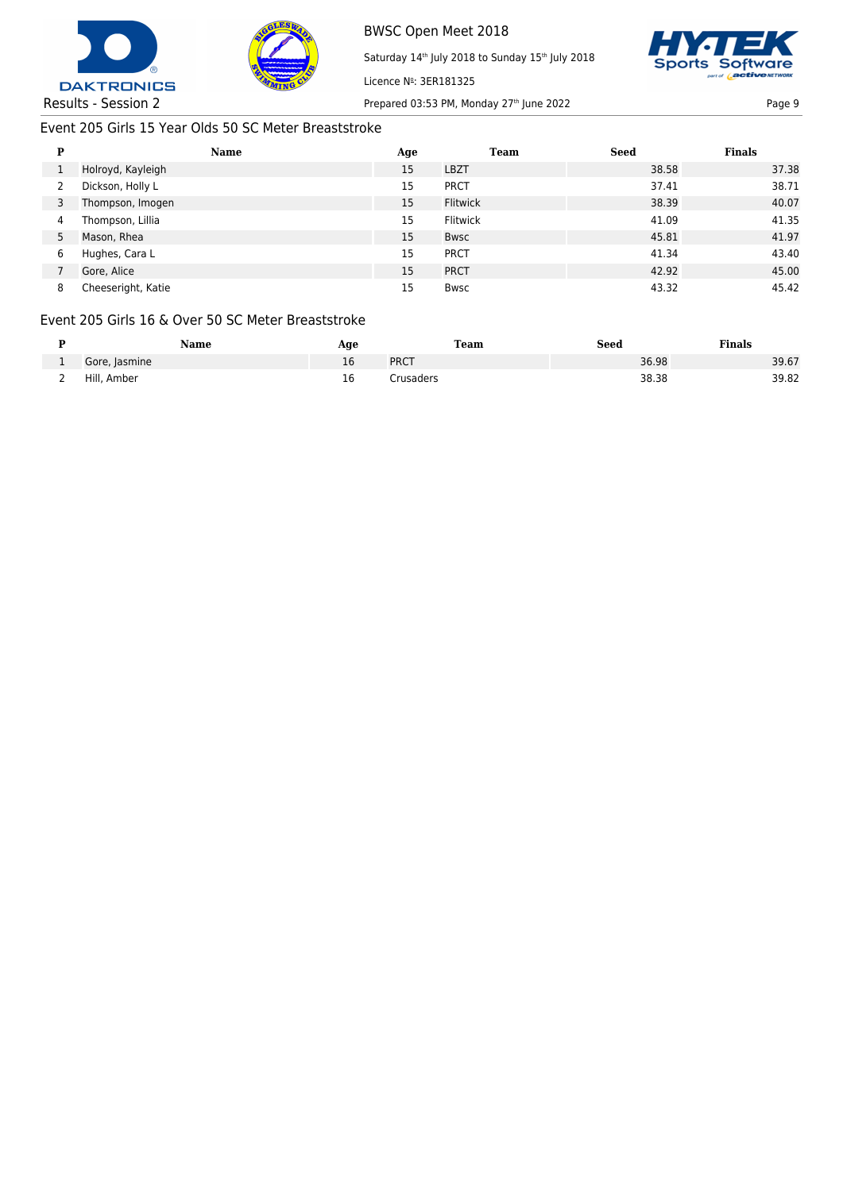



Licence Nº: 3ER181325

Saturday 14<sup>th</sup> July 2018 to Sunday 15<sup>th</sup> July 2018



Results - Session 2 Prepared 03:53 PM, Monday 27<sup>th</sup> June 2022 Page 9 Page 9

# Event 205 Girls 15 Year Olds 50 SC Meter Breaststroke

| P | <b>Name</b>        | Age | Team            | <b>Seed</b> | <b>Finals</b> |
|---|--------------------|-----|-----------------|-------------|---------------|
|   | Holroyd, Kayleigh  | 15  | <b>LBZT</b>     | 38.58       | 37.38         |
|   | Dickson, Holly L   | 15  | <b>PRCT</b>     | 37.41       | 38.71         |
|   | Thompson, Imogen   | 15  | <b>Flitwick</b> | 38.39       | 40.07         |
| 4 | Thompson, Lillia   | 15  | Flitwick        | 41.09       | 41.35         |
|   | Mason, Rhea        | 15  | <b>Bwsc</b>     | 45.81       | 41.97         |
| 6 | Hughes, Cara L     | 15  | <b>PRCT</b>     | 41.34       | 43.40         |
|   | Gore, Alice        | 15  | <b>PRCT</b>     | 42.92       | 45.00         |
| 8 | Cheeseright, Katie | 15  | <b>Bwsc</b>     | 43.32       | 45.42         |

## Event 205 Girls 16 & Over 50 SC Meter Breaststroke

|   | Name          | Age | Team        | Seed  | Finals |
|---|---------------|-----|-------------|-------|--------|
|   | Gore, Jasmine | 16  | <b>PRCT</b> | 36.98 | 39.67  |
| - | Hill, Amber   | 16  | crusaders.  | 38.38 | 39.82  |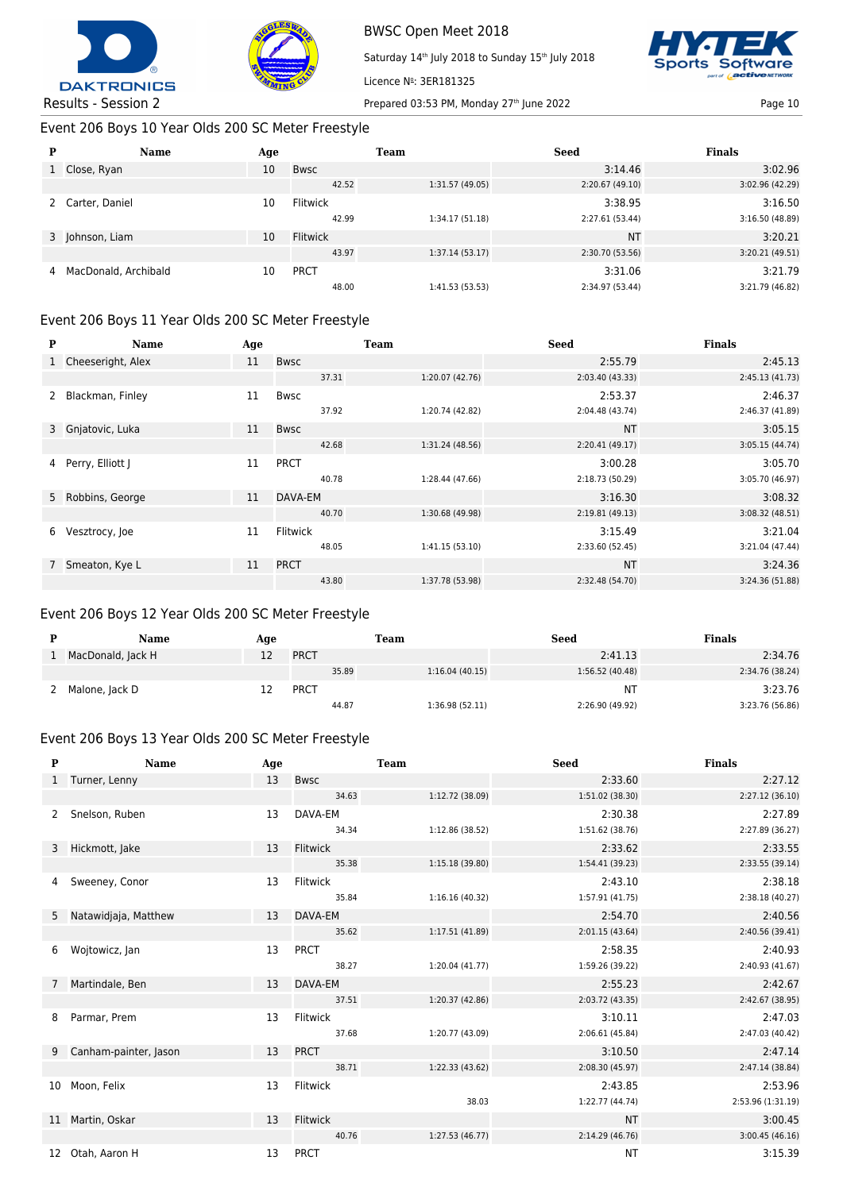



Saturday 14<sup>th</sup> July 2018 to Sunday 15<sup>th</sup> July 2018



Results - Session 2 Prepared 03:53 PM, Monday 27<sup>th</sup> June 2022 Page 10

# Event 206 Boys 10 Year Olds 200 SC Meter Freestyle

| P | Name                 | Age |                 | <b>Team</b>     | <b>Seed</b>     | <b>Finals</b>   |
|---|----------------------|-----|-----------------|-----------------|-----------------|-----------------|
|   | 1 Close, Ryan        | 10  | <b>Bwsc</b>     |                 | 3:14.46         | 3:02.96         |
|   |                      |     | 42.52           | 1:31.57 (49.05) | 2:20.67 (49.10) | 3:02.96 (42.29) |
|   | Carter, Daniel       | 10  | <b>Flitwick</b> |                 | 3:38.95         | 3:16.50         |
|   |                      |     | 42.99           | 1:34.17(51.18)  | 2:27.61 (53.44) | 3:16.50(48.89)  |
|   | 3 Johnson, Liam      | 10  | <b>Flitwick</b> |                 | <b>NT</b>       | 3:20.21         |
|   |                      |     | 43.97           | 1:37.14(53.17)  | 2:30.70 (53.56) | 3:20.21 (49.51) |
| 4 | MacDonald, Archibald | 10  | <b>PRCT</b>     |                 | 3:31.06         | 3:21.79         |
|   |                      |     | 48.00           | 1:41.53 (53.53) | 2:34.97 (53.44) | 3:21.79 (46.82) |

Licence Nº: 3ER181325

# Event 206 Boys 11 Year Olds 200 SC Meter Freestyle

| P           | Name              | Age |                 | <b>Team</b>     | <b>Seed</b>     | <b>Finals</b>   |
|-------------|-------------------|-----|-----------------|-----------------|-----------------|-----------------|
|             | Cheeseright, Alex | 11  | <b>Bwsc</b>     |                 | 2:55.79         | 2:45.13         |
|             |                   |     | 37.31           | 1:20.07 (42.76) | 2:03.40 (43.33) | 2:45.13(41.73)  |
| 2           | Blackman, Finley  | 11  | <b>Bwsc</b>     |                 | 2:53.37         | 2:46.37         |
|             |                   |     | 37.92           | 1:20.74 (42.82) | 2:04.48 (43.74) | 2:46.37 (41.89) |
|             | 3 Gnjatovic, Luka | 11  | <b>Bwsc</b>     |                 | <b>NT</b>       | 3:05.15         |
|             |                   |     | 42.68           | 1:31.24 (48.56) | 2:20.41(49.17)  | 3:05.15(44.74)  |
| 4           | Perry, Elliott J  | 11  | <b>PRCT</b>     |                 | 3:00.28         | 3:05.70         |
|             |                   |     | 40.78           | 1:28.44 (47.66) | 2:18.73 (50.29) | 3:05.70 (46.97) |
|             | 5 Robbins, George | 11  | DAVA-EM         |                 | 3:16.30         | 3:08.32         |
|             |                   |     | 40.70           | 1:30.68 (49.98) | 2:19.81 (49.13) | 3:08.32 (48.51) |
| 6           | Vesztrocy, Joe    | 11  | <b>Flitwick</b> |                 | 3:15.49         | 3:21.04         |
|             |                   |     | 48.05           | 1:41.15(53.10)  | 2:33.60 (52.45) | 3:21.04 (47.44) |
| $7^{\circ}$ | Smeaton, Kye L    | 11  | <b>PRCT</b>     |                 | <b>NT</b>       | 3:24.36         |
|             |                   |     | 43.80           | 1:37.78 (53.98) | 2:32.48 (54.70) | 3:24.36 (51.88) |

# Event 206 Boys 12 Year Olds 200 SC Meter Freestyle

| Name              | Aqe |             | Team  |                | <b>Seed</b>     | <b>Finals</b>   |
|-------------------|-----|-------------|-------|----------------|-----------------|-----------------|
| MacDonald, Jack H |     | <b>PRCT</b> |       |                | 2:41.13         | 2:34.76         |
|                   |     |             | 35.89 | 1:16.04(40.15) | 1:56.52 (40.48) | 2:34.76 (38.24) |
| Malone, Jack D    |     | PRCT        |       |                | NΤ              | 3:23.76         |
|                   |     |             | 44.87 | 1:36.98(52.11) | 2:26.90 (49.92) | 3:23.76 (56.86) |

## Event 206 Boys 13 Year Olds 200 SC Meter Freestyle

| P            | <b>Name</b>           | Age |                 | <b>Team</b>     | <b>Seed</b>     | <b>Finals</b>     |
|--------------|-----------------------|-----|-----------------|-----------------|-----------------|-------------------|
| $\mathbf{1}$ | Turner, Lenny         | 13  | <b>Bwsc</b>     |                 | 2:33.60         | 2:27.12           |
|              |                       |     | 34.63           | 1:12.72 (38.09) | 1:51.02 (38.30) | 2:27.12 (36.10)   |
| 2            | Snelson, Ruben        | 13  | DAVA-EM         |                 | 2:30.38         | 2:27.89           |
|              |                       |     | 34.34           | 1:12.86 (38.52) | 1:51.62 (38.76) | 2:27.89 (36.27)   |
| 3            | Hickmott, Jake        | 13  | <b>Flitwick</b> |                 | 2:33.62         | 2:33.55           |
|              |                       |     | 35.38           | 1:15.18(39.80)  | 1:54.41 (39.23) | 2:33.55 (39.14)   |
| 4            | Sweeney, Conor        | 13  | Flitwick        |                 | 2:43.10         | 2:38.18           |
|              |                       |     | 35.84           | 1:16.16(40.32)  | 1:57.91 (41.75) | 2:38.18 (40.27)   |
| 5            | Natawidjaja, Matthew  | 13  | DAVA-EM         |                 | 2:54.70         | 2:40.56           |
|              |                       |     | 35.62           | 1:17.51(41.89)  | 2:01.15(43.64)  | 2:40.56 (39.41)   |
| 6            | Wojtowicz, Jan        | 13  | PRCT            |                 | 2:58.35         | 2:40.93           |
|              |                       |     | 38.27           | 1:20.04 (41.77) | 1:59.26 (39.22) | 2:40.93 (41.67)   |
| $7^{\circ}$  | Martindale, Ben       | 13  | DAVA-EM         |                 | 2:55.23         | 2:42.67           |
|              |                       |     | 37.51           | 1:20.37 (42.86) | 2:03.72 (43.35) | 2:42.67 (38.95)   |
| 8            | Parmar, Prem          | 13  | Flitwick        |                 | 3:10.11         | 2:47.03           |
|              |                       |     | 37.68           | 1:20.77 (43.09) | 2:06.61(45.84)  | 2:47.03 (40.42)   |
| 9            | Canham-painter, Jason | 13  | <b>PRCT</b>     |                 | 3:10.50         | 2:47.14           |
|              |                       |     | 38.71           | 1:22.33(43.62)  | 2:08.30 (45.97) | 2:47.14 (38.84)   |
| 10           | Moon, Felix           | 13  | Flitwick        |                 | 2:43.85         | 2:53.96           |
|              |                       |     |                 | 38.03           | 1:22.77 (44.74) | 2:53.96 (1:31.19) |
| 11           | Martin, Oskar         | 13  | Flitwick        |                 | <b>NT</b>       | 3:00.45           |
|              |                       |     | 40.76           | 1:27.53(46.77)  | 2:14.29(46.76)  | 3:00.45(46.16)    |
| 12           | Otah, Aaron H         | 13  | <b>PRCT</b>     |                 | <b>NT</b>       | 3:15.39           |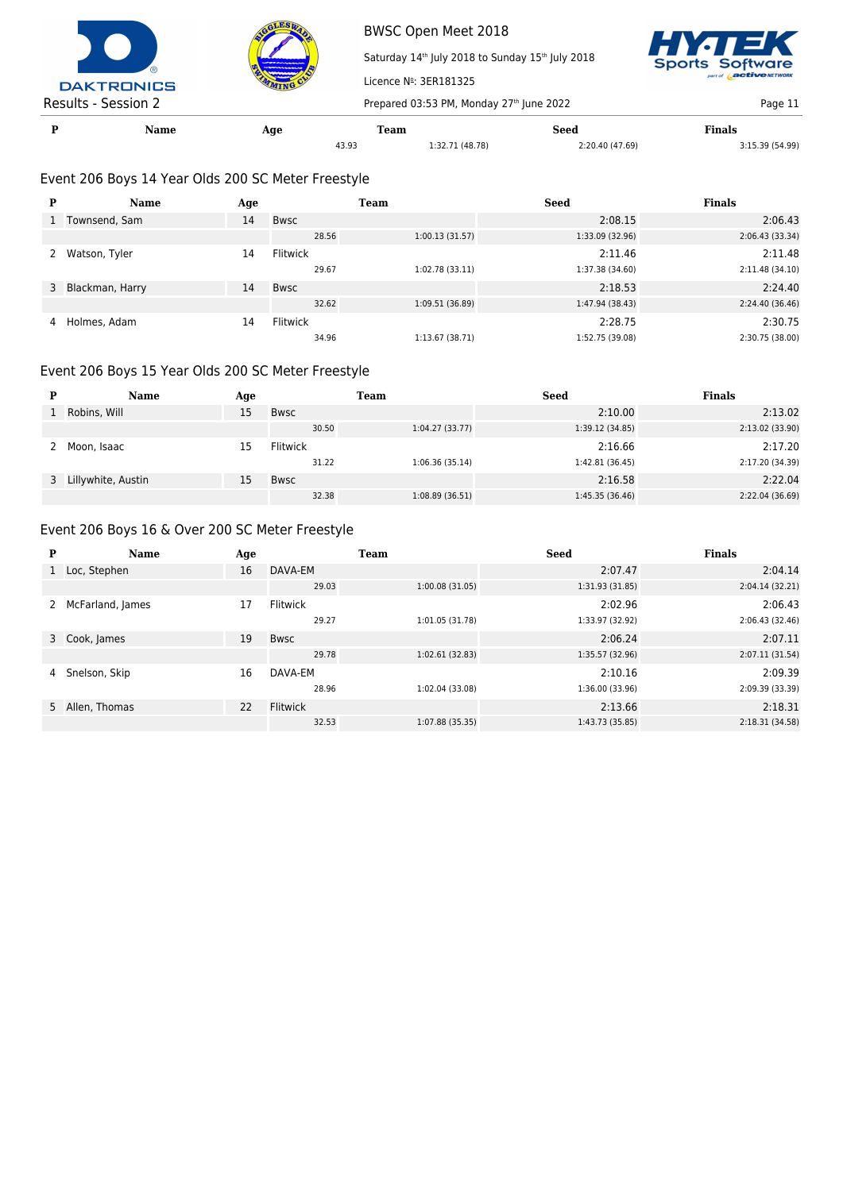



Saturday 14<sup>th</sup> July 2018 to Sunday 15<sup>th</sup> July 2018 ware

Results - Session 2 Prepared 03:53 PM, Monday 27<sup>th</sup> June 2022 Page 11 **P Name Age Team Seed Finals**

Licence Nº: 3ER181325

# 43.93 1:32.71 (48.78) 2:20.40 (47.69) 3:15.39 (54.99)

# Event 206 Boys 14 Year Olds 200 SC Meter Freestyle

| P | <b>Name</b>       | Age |                 | Team            | Seed            | <b>Finals</b>   |
|---|-------------------|-----|-----------------|-----------------|-----------------|-----------------|
| 1 | Townsend, Sam     | 14  | <b>Bwsc</b>     |                 | 2:08.15         | 2:06.43         |
|   |                   |     | 28.56           | 1:00.13(31.57)  | 1:33.09 (32.96) | 2:06.43 (33.34) |
|   | Watson, Tyler     | 14  | <b>Flitwick</b> |                 | 2:11.46         | 2:11.48         |
|   |                   |     | 29.67           | 1:02.78(33.11)  | 1:37.38 (34.60) | 2:11.48(34.10)  |
|   | 3 Blackman, Harry | 14  | <b>Bwsc</b>     |                 | 2:18.53         | 2:24.40         |
|   |                   |     | 32.62           | 1:09.51 (36.89) | 1:47.94 (38.43) | 2:24.40 (36.46) |
| 4 | Holmes, Adam      | 14  | Flitwick        |                 | 2:28.75         | 2:30.75         |
|   |                   |     | 34.96           | 1:13.67(38.71)  | 1:52.75 (39.08) | 2:30.75 (38.00) |

# Event 206 Boys 15 Year Olds 200 SC Meter Freestyle

|              | <b>Name</b>          | Age |             | Team           | Seed            | <b>Finals</b>   |
|--------------|----------------------|-----|-------------|----------------|-----------------|-----------------|
| $\mathbf{1}$ | Robins, Will         | 15  | <b>Bwsc</b> |                | 2:10.00         | 2:13.02         |
|              |                      |     | 30.50       | 1:04.27(33.77) | 1:39.12 (34.85) | 2:13.02 (33.90) |
|              | Moon, Isaac          | 15  | Flitwick    |                | 2:16.66         | 2:17.20         |
|              |                      |     | 31.22       | 1:06.36(35.14) | 1:42.81 (36.45) | 2:17.20 (34.39) |
|              | 3 Lillywhite, Austin | 15  | Bwsc        |                | 2:16.58         | 2:22.04         |
|              |                      |     | 32.38       | 1:08.89(36.51) | 1:45.35 (36.46) | 2:22.04 (36.69) |

## Event 206 Boys 16 & Over 200 SC Meter Freestyle

| P            | Name             | Age |                 | <b>Team</b>     | <b>Seed</b>     | <b>Finals</b>   |
|--------------|------------------|-----|-----------------|-----------------|-----------------|-----------------|
| $\mathbf{1}$ | Loc, Stephen     | 16  | DAVA-EM         |                 | 2:07.47         | 2:04.14         |
|              |                  |     | 29.03           | 1:00.08(31.05)  | 1:31.93(31.85)  | 2:04.14(32.21)  |
|              | McFarland, James | 17  | Flitwick        |                 | 2:02.96         | 2:06.43         |
|              |                  |     | 29.27           | 1:01.05 (31.78) | 1:33.97 (32.92) | 2:06.43 (32.46) |
|              | 3 Cook, James    | 19  | Bwsc            |                 | 2:06.24         | 2:07.11         |
|              |                  |     | 29.78           | 1:02.61(32.83)  | 1:35.57 (32.96) | 2:07.11 (31.54) |
| 4            | Snelson, Skip    | 16  | DAVA-EM         |                 | 2:10.16         | 2:09.39         |
|              |                  |     | 28.96           | 1:02.04 (33.08) | 1:36.00 (33.96) | 2:09.39 (33.39) |
|              | 5 Allen, Thomas  | 22  | <b>Flitwick</b> |                 | 2:13.66         | 2:18.31         |
|              |                  |     | 32.53           | 1:07.88(35.35)  | 1:43.73 (35.85) | 2:18.31(34.58)  |